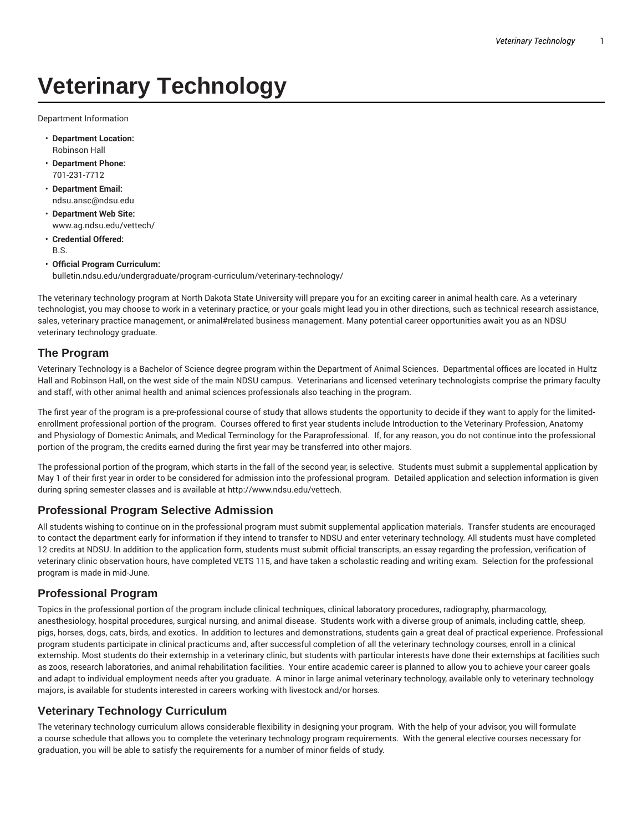# **Veterinary Technology**

Department Information

- **Department Location:** Robinson Hall
- **Department Phone:** 701-231-7712
- **Department Email:** ndsu.ansc@ndsu.edu
- **Department Web Site:** www.ag.ndsu.edu/vettech/
- **Credential Offered:** B.S.
- **Official Program Curriculum:** bulletin.ndsu.edu/undergraduate/program-curriculum/veterinary-technology/

The veterinary technology program at North Dakota State University will prepare you for an exciting career in animal health care. As a veterinary technologist, you may choose to work in a veterinary practice, or your goals might lead you in other directions, such as technical research assistance, sales, veterinary practice management, or animal#related business management. Many potential career opportunities await you as an NDSU veterinary technology graduate.

#### **The Program**

Veterinary Technology is a Bachelor of Science degree program within the Department of Animal Sciences. Departmental offices are located in Hultz Hall and Robinson Hall, on the west side of the main NDSU campus. Veterinarians and licensed veterinary technologists comprise the primary faculty and staff, with other animal health and animal sciences professionals also teaching in the program.

The first year of the program is a pre-professional course of study that allows students the opportunity to decide if they want to apply for the limitedenrollment professional portion of the program. Courses offered to first year students include Introduction to the Veterinary Profession, Anatomy and Physiology of Domestic Animals, and Medical Terminology for the Paraprofessional. If, for any reason, you do not continue into the professional portion of the program, the credits earned during the first year may be transferred into other majors.

The professional portion of the program, which starts in the fall of the second year, is selective. Students must submit a supplemental application by May 1 of their first year in order to be considered for admission into the professional program. Detailed application and selection information is given during spring semester classes and is available at http://www.ndsu.edu/vettech.

# **Professional Program Selective Admission**

All students wishing to continue on in the professional program must submit supplemental application materials. Transfer students are encouraged to contact the department early for information if they intend to transfer to NDSU and enter veterinary technology. All students must have completed 12 credits at NDSU. In addition to the application form, students must submit official transcripts, an essay regarding the profession, verification of veterinary clinic observation hours, have completed VETS 115, and have taken a scholastic reading and writing exam. Selection for the professional program is made in mid-June.

#### **Professional Program**

Topics in the professional portion of the program include clinical techniques, clinical laboratory procedures, radiography, pharmacology, anesthesiology, hospital procedures, surgical nursing, and animal disease. Students work with a diverse group of animals, including cattle, sheep, pigs, horses, dogs, cats, birds, and exotics. In addition to lectures and demonstrations, students gain a great deal of practical experience. Professional program students participate in clinical practicums and, after successful completion of all the veterinary technology courses, enroll in a clinical externship. Most students do their externship in a veterinary clinic, but students with particular interests have done their externships at facilities such as zoos, research laboratories, and animal rehabilitation facilities. Your entire academic career is planned to allow you to achieve your career goals and adapt to individual employment needs after you graduate. A minor in large animal veterinary technology, available only to veterinary technology majors, is available for students interested in careers working with livestock and/or horses.

# **Veterinary Technology Curriculum**

The veterinary technology curriculum allows considerable flexibility in designing your program. With the help of your advisor, you will formulate a course schedule that allows you to complete the veterinary technology program requirements. With the general elective courses necessary for graduation, you will be able to satisfy the requirements for a number of minor fields of study.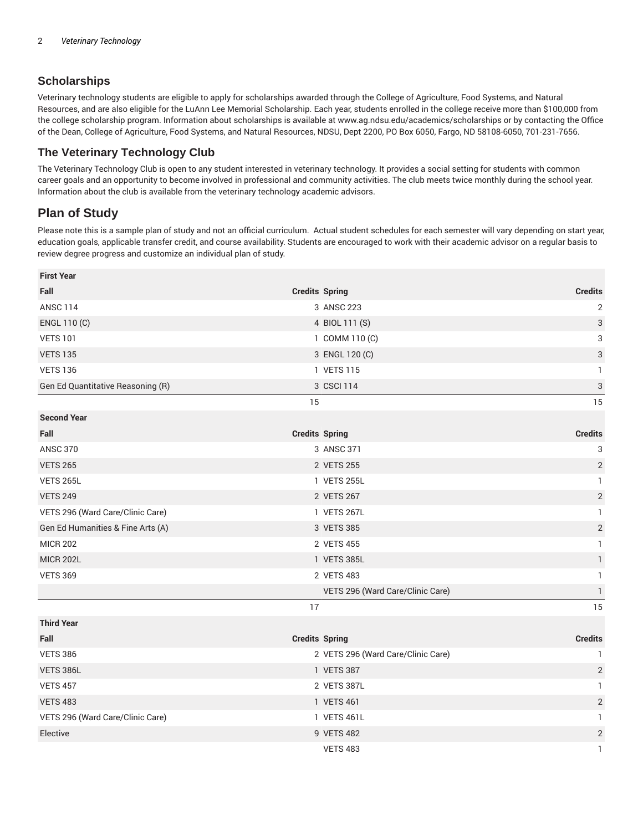### **Scholarships**

Veterinary technology students are eligible to apply for scholarships awarded through the College of Agriculture, Food Systems, and Natural Resources, and are also eligible for the LuAnn Lee Memorial Scholarship. Each year, students enrolled in the college receive more than \$100,000 from the college scholarship program. Information about scholarships is available at www.ag.ndsu.edu/academics/scholarships or by contacting the Office of the Dean, College of Agriculture, Food Systems, and Natural Resources, NDSU, Dept 2200, PO Box 6050, Fargo, ND 58108-6050, 701-231-7656.

#### **The Veterinary Technology Club**

The Veterinary Technology Club is open to any student interested in veterinary technology. It provides a social setting for students with common career goals and an opportunity to become involved in professional and community activities. The club meets twice monthly during the school year. Information about the club is available from the veterinary technology academic advisors.

# **Plan of Study**

Please note this is a sample plan of study and not an official curriculum. Actual student schedules for each semester will vary depending on start year, education goals, applicable transfer credit, and course availability. Students are encouraged to work with their academic advisor on a regular basis to review degree progress and customize an individual plan of study.

| <b>First Year</b>                 |                                    |                           |
|-----------------------------------|------------------------------------|---------------------------|
| Fall                              | <b>Credits Spring</b>              | <b>Credits</b>            |
| <b>ANSC 114</b>                   | 3 ANSC 223                         | $\mathbf{2}$              |
| ENGL 110 (C)                      | 4 BIOL 111 (S)                     | $\ensuremath{\mathsf{3}}$ |
| <b>VETS 101</b>                   | 1 COMM 110 (C)                     | 3                         |
| <b>VETS 135</b>                   | 3 ENGL 120 (C)                     | 3                         |
| <b>VETS 136</b>                   | 1 VETS 115                         | 1                         |
| Gen Ed Quantitative Reasoning (R) | 3 CSCI 114                         | $\mathsf{3}$              |
|                                   | 15                                 | 15                        |
| <b>Second Year</b>                |                                    |                           |
| Fall                              | <b>Credits Spring</b>              | <b>Credits</b>            |
| <b>ANSC 370</b>                   | 3 ANSC 371                         | 3                         |
| <b>VETS 265</b>                   | 2 VETS 255                         | 2                         |
| <b>VETS 265L</b>                  | 1 VETS 255L                        | $\mathbf{1}$              |
| <b>VETS 249</b>                   | 2 VETS 267                         | $\mathbf{2}$              |
| VETS 296 (Ward Care/Clinic Care)  | 1 VETS 267L                        | $\mathbf{1}$              |
| Gen Ed Humanities & Fine Arts (A) | 3 VETS 385                         | $\sqrt{2}$                |
| <b>MICR 202</b>                   | 2 VETS 455                         |                           |
| <b>MICR 202L</b>                  | 1 VETS 385L<br>$\mathbf{1}$        |                           |
| <b>VETS 369</b>                   | 2 VETS 483                         | $\mathbf{1}$              |
|                                   | VETS 296 (Ward Care/Clinic Care)   | $\mathbb{I}$              |
|                                   | 17                                 | 15                        |
| <b>Third Year</b>                 |                                    |                           |
| Fall                              | <b>Credits Spring</b>              | <b>Credits</b>            |
| <b>VETS 386</b>                   | 2 VETS 296 (Ward Care/Clinic Care) | $\mathbf{1}$              |
| VETS 386L                         | 1 VETS 387                         | $\sqrt{2}$                |
| <b>VETS 457</b>                   | 2 VETS 387L<br>$\mathbf{1}$        |                           |
| <b>VETS 483</b>                   | 1 VETS 461                         | $\mathbf{2}$              |
| VETS 296 (Ward Care/Clinic Care)  | 1 VETS 461L                        | 1                         |
| Elective                          | 9 VETS 482                         | $\mathbf{2}$              |
|                                   | <b>VETS 483</b>                    | $\mathbf{1}$              |